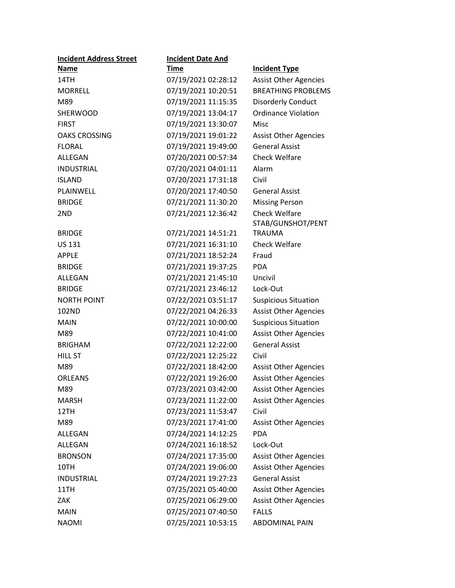| <b>Incident Address Street</b> | <b>Incident Date And</b> |                              |
|--------------------------------|--------------------------|------------------------------|
| <b>Name</b>                    | <b>Time</b>              | <b>Incident Type</b>         |
| 14TH                           | 07/19/2021 02:28:12      | <b>Assist Other Agencies</b> |
| <b>MORRELL</b>                 | 07/19/2021 10:20:51      | <b>BREATHING PROBLEMS</b>    |
| M89                            | 07/19/2021 11:15:35      | <b>Disorderly Conduct</b>    |
| <b>SHERWOOD</b>                | 07/19/2021 13:04:17      | <b>Ordinance Violation</b>   |
| <b>FIRST</b>                   | 07/19/2021 13:30:07      | Misc                         |
| <b>OAKS CROSSING</b>           | 07/19/2021 19:01:22      | <b>Assist Other Agencies</b> |
| <b>FLORAL</b>                  | 07/19/2021 19:49:00      | <b>General Assist</b>        |
| ALLEGAN                        | 07/20/2021 00:57:34      | <b>Check Welfare</b>         |
| <b>INDUSTRIAL</b>              | 07/20/2021 04:01:11      | Alarm                        |
| <b>ISLAND</b>                  | 07/20/2021 17:31:18      | Civil                        |
| PLAINWELL                      | 07/20/2021 17:40:50      | <b>General Assist</b>        |
| <b>BRIDGE</b>                  | 07/21/2021 11:30:20      | <b>Missing Person</b>        |
| 2ND                            | 07/21/2021 12:36:42      | <b>Check Welfare</b>         |
|                                |                          | STAB/GUNSHOT/PENT            |
| <b>BRIDGE</b>                  | 07/21/2021 14:51:21      | <b>TRAUMA</b>                |
| <b>US 131</b>                  | 07/21/2021 16:31:10      | <b>Check Welfare</b>         |
| <b>APPLE</b>                   | 07/21/2021 18:52:24      | Fraud                        |
| <b>BRIDGE</b>                  | 07/21/2021 19:37:25      | <b>PDA</b>                   |
| ALLEGAN                        | 07/21/2021 21:45:10      | Uncivil                      |
| <b>BRIDGE</b>                  | 07/21/2021 23:46:12      | Lock-Out                     |
| <b>NORTH POINT</b>             | 07/22/2021 03:51:17      | <b>Suspicious Situation</b>  |
| 102ND                          | 07/22/2021 04:26:33      | <b>Assist Other Agencies</b> |
| <b>MAIN</b>                    | 07/22/2021 10:00:00      | <b>Suspicious Situation</b>  |
| M89                            | 07/22/2021 10:41:00      | <b>Assist Other Agencies</b> |
| <b>BRIGHAM</b>                 | 07/22/2021 12:22:00      | <b>General Assist</b>        |
| <b>HILL ST</b>                 | 07/22/2021 12:25:22      | Civil                        |
| M89                            | 07/22/2021 18:42:00      | <b>Assist Other Agencies</b> |
| <b>ORLEANS</b>                 | 07/22/2021 19:26:00      | <b>Assist Other Agencies</b> |
| M89                            | 07/23/2021 03:42:00      | <b>Assist Other Agencies</b> |
| <b>MARSH</b>                   | 07/23/2021 11:22:00      | <b>Assist Other Agencies</b> |
| 12TH                           | 07/23/2021 11:53:47      | Civil                        |
| M89                            | 07/23/2021 17:41:00      | <b>Assist Other Agencies</b> |
| <b>ALLEGAN</b>                 | 07/24/2021 14:12:25      | <b>PDA</b>                   |
| ALLEGAN                        | 07/24/2021 16:18:52      | Lock-Out                     |
| <b>BRONSON</b>                 | 07/24/2021 17:35:00      | <b>Assist Other Agencies</b> |
| 10TH                           | 07/24/2021 19:06:00      | <b>Assist Other Agencies</b> |
| <b>INDUSTRIAL</b>              | 07/24/2021 19:27:23      | <b>General Assist</b>        |
| 11TH                           | 07/25/2021 05:40:00      | <b>Assist Other Agencies</b> |
| ZAK.                           | 07/25/2021 06:29:00      | <b>Assist Other Agencies</b> |
| <b>MAIN</b>                    | 07/25/2021 07:40:50      | <b>FALLS</b>                 |
| <b>NAOMI</b>                   | 07/25/2021 10:53:15      | <b>ABDOMINAL PAIN</b>        |